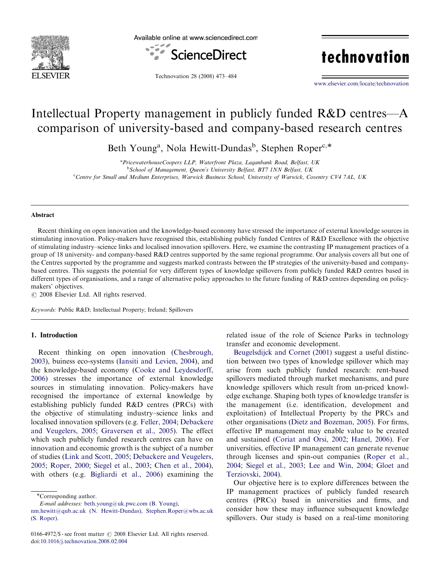

Available online at www.sciencedirect.com



technovation

Technovation 28 (2008) 473–484

<www.elsevier.com/locate/technovation>

## Intellectual Property management in publicly funded R&D centres—A comparison of university-based and company-based research centres

Beth Young<sup>a</sup>, Nola Hewitt-Dundas<sup>b</sup>, Stephen Roper<sup>c,\*</sup>

<sup>a</sup> PricewaterhouseCoopers LLP, Waterfront Plaza, Laganbank Road, Belfast, UK <sup>b</sup>School of Management, Queen's University Belfast, BT7 1NN Belfast, UK <sup>c</sup>Centre for Small and Medium Enterprises, Warwick Business School, University of Warwick, Coventry CV4 7AL, UK

#### Abstract

Recent thinking on open innovation and the knowledge-based economy have stressed the importance of external knowledge sources in stimulating innovation. Policy-makers have recognised this, establishing publicly funded Centres of R&D Excellence with the objective of stimulating industry–science links and localised innovation spillovers. Here, we examine the contrasting IP management practices of a group of 18 university- and company-based R&D centres supported by the same regional programme. Our analysis covers all but one of the Centres supported by the programme and suggests marked contrasts between the IP strategies of the university-based and companybased centres. This suggests the potential for very different types of knowledge spillovers from publicly funded R&D centres based in different types of organisations, and a range of alternative policy approaches to the future funding of R&D centres depending on policymakers' objectives.

 $C$  2008 Elsevier Ltd. All rights reserved.

Keywords: Public R&D; Intellectual Property; Ireland; Spillovers

### 1. Introduction

Recent thinking on open innovation [\(Chesbrough,](#page--1-0) [2003](#page--1-0)), buiness eco-systems ([Iansiti and Levien, 2004](#page--1-0)), and the knowledge-based economy ([Cooke and Leydesdorff,](#page--1-0) [2006](#page--1-0)) stresses the importance of external knowledge sources in stimulating innovation. Policy-makers have recognised the importance of external knowledge by establishing publicly funded R&D centres (PRCs) with the objective of stimulating industry–science links and localised innovation spillovers (e.g. [Feller, 2004;](#page--1-0) [Debackere](#page--1-0) [and Veugelers, 2005;](#page--1-0) [Graversen et al., 2005](#page--1-0)). The effect which such publicly funded research centres can have on innovation and economic growth is the subject of a number of studies ([Link and Scott, 2005;](#page--1-0) [Debackere and Veugelers,](#page--1-0) [2005](#page--1-0); [Roper, 2000;](#page--1-0) [Siegel et al., 2003](#page--1-0); [Chen et al., 2004\)](#page--1-0), with others (e.g. [Bigliardi et al., 2006\)](#page--1-0) examining the related issue of the role of Science Parks in technology transfer and economic development.

[Beugelsdijck and Cornet \(2001\)](#page--1-0) suggest a useful distinction between two types of knowledge spillover which may arise from such publicly funded research: rent-based spillovers mediated through market mechanisms, and pure knowledge spillovers which result from un-priced knowledge exchange. Shaping both types of knowledge transfer is the management (i.e. identification, development and exploitation) of Intellectual Property by the PRCs and other organisations ([Dietz and Bozeman, 2005\)](#page--1-0). For firms, effective IP management may enable value to be created and sustained [\(Coriat and Orsi, 2002](#page--1-0); [Hanel, 2006](#page--1-0)). For universities, effective IP management can generate revenue through licenses and spin-out companies [\(Roper et al.,](#page--1-0) [2004](#page--1-0); [Siegel et al., 2003;](#page--1-0) [Lee and Win, 2004;](#page--1-0) [Gloet and](#page--1-0) [Terziovski, 2004\)](#page--1-0).

Our objective here is to explore differences between the IP management practices of publicly funded research centres (PRCs) based in universities and firms, and consider how these may influence subsequent knowledge spillovers. Our study is based on a real-time monitoring

<sup>\*</sup>Corresponding author.

E-mail addresses: [beth.young@uk.pwc.com \(B. Young\)](mailto:beth.young@uk.pwc.com),

[nm.hewitt@qub.ac.uk \(N. Hewitt-Dundas\)](mailto:nm.hewitt@qub.ac.uk), [Stephen.Roper@wbs.ac.uk](mailto:Stephen.Roper@wbs.ac.uk) [\(S. Roper\)](mailto:Stephen.Roper@wbs.ac.uk).

<sup>0166-4972/\$ -</sup> see front matter  $\odot$  2008 Elsevier Ltd. All rights reserved. doi:[10.1016/j.technovation.2008.02.004](dx.doi.org/10.1016/j.technovation.2008.02.004)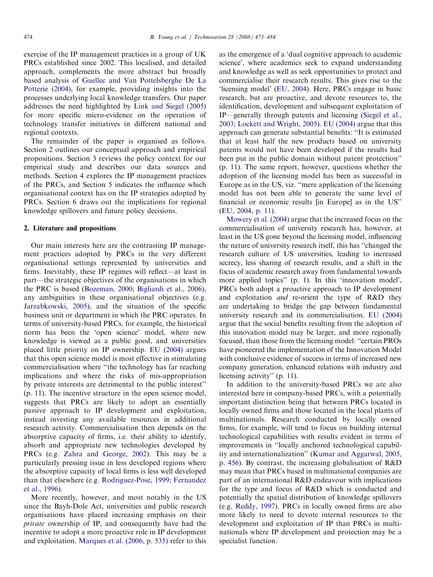exercise of the IP management practices in a group of UK PRCs established since 2002. This localised, and detailed approach, complements the more abstract but broadly based analysis of [Guellec and Van Pottelsberghe De La](#page--1-0) [Potterie \(2004\),](#page--1-0) for example, providing insights into the processes underlying local knowledge transfers. Our paper addresses the need highlighted by [Link and Siegel \(2005\)](#page--1-0) for more specific micro-evidence on the operation of technology transfer initiatives in different national and regional contexts.

The remainder of the paper is organised as follows. Section 2 outlines our conceptual approach and empirical propositions. Section 3 reviews the policy context for our empirical study and describes our data sources and methods. Section 4 explores the IP management practices of the PRCs, and Section 5 indicates the influence which organisational context has on the IP strategies adopted by PRCs. Section 6 draws out the implications for regional knowledge spillovers and future policy decisions.

#### 2. Literature and propositions

Our main interests here are the contrasting IP management practices adopted by PRCs in the very different organisational settings represented by universities and firms. Inevitably, these IP regimes will reflect—at least in part—the strategic objectives of the organisations in which the PRC is based [\(Bozeman, 2000](#page--1-0); [Bigliardi et al., 2006\)](#page--1-0), any ambiguities in these organisational objectives (e.g. [Jarzabkowski, 2005](#page--1-0)), and the situation of the specific business unit or department in which the PRC operates. In terms of university-based PRCs, for example, the historical norm has been the 'open science' model, where new knowledge is viewed as a public good, and universities placed little priority on IP ownership. [EU \(2004\)](#page--1-0) argues that this open science model is most effective in stimulating commercialisation where ''the technology has far reaching implications and where the risks of mis-appropriation by private interests are detrimental to the public interest'' (p. 11). The incentive structure in the open science model, suggests that PRCs are likely to adopt an essentially passive approach to IP development and exploitation, instead investing any available resources in additional research activity. Commercialisation then depends on the absorptive capacity of firms, i.e. their ability to identify, absorb and appropriate new technologies developed by PRCs (e.g. [Zahra and George, 2002\)](#page--1-0). This may be a particularly pressing issue in less developed regions where the absorptive capacity of local firms is less well developed than that elsewhere (e.g. [Rodriguez-Pose, 1999;](#page--1-0) [Fernandez](#page--1-0) [et al., 1996](#page--1-0)).

More recently, however, and most notably in the US since the Bayh-Dole Act, universities and public research organisations have placed increasing emphasis on their private ownership of IP, and consequently have had the incentive to adopt a more proactive role in IP development and exploitation. [Marques et al. \(2006, p. 535\)](#page--1-0) refer to this as the emergence of a 'dual cognitive approach to academic science', where academics seek to expand understanding and knowledge as well as seek opportunities to protect and commercialise their research results. This gives rise to the 'licensing model' ([EU, 2004\)](#page--1-0). Here, PRCs engage in basic research, but are proactive, and devote resources to, the identification, development and subsequent exploitation of IP—generally through patents and licensing ([Siegel et al.,](#page--1-0) [2003;](#page--1-0) [Lockett and Wright, 2005](#page--1-0)). [EU \(2004\)](#page--1-0) argue that this approach can generate substantial benefits: ''It is estimated that at least half the new products based on university patents would not have been developed if the results had been put in the public domain without patent protection'' (p. 11). The same report, however, questions whether the adoption of the licensing model has been as successful in Europe as in the US, viz. ''mere application of the licensing model has not been able to generate the same level of financial or economic results [in Europe] as in the US'' [\(EU, 2004, p. 11](#page--1-0)).

[Mowery et al. \(2004\)](#page--1-0) argue that the increased focus on the commercialisation of university research has, however, at least in the US gone beyond the licensing model, influencing the nature of university research itself, this has ''changed the research culture of US universities, leading to increased secrecy, less sharing of research results, and a shift in the focus of academic research away from fundamental towards more applied topics'' (p. 1). In this 'innovation model', PRCs both adopt a proactive approach to IP development and exploitation and re-orient the type of R&D they are undertaking to bridge the gap between fundamental university research and its commercialisation. [EU \(2004\)](#page--1-0) argue that the social benefits resulting from the adoption of this innovation model may be larger, and more regionally focused, than those from the licensing model: ''certain PROs have pioneered the implementation of the Innovation Model with conclusive evidence of success in terms of increased new company generation, enhanced relations with industry and licensing activity'' (p. 11).

In addition to the university-based PRCs we are also interested here in company-based PRCs, with a potentially important distinction being that between PRCs located in locally owned firms and those located in the local plants of multinationals. Research conducted by locally owned firms, for example, will tend to focus on building internal technological capabilities with results evident in terms of improvements in ''locally anchored technological capability and internationalization'' [\(Kumar and Aggarwal, 2005,](#page--1-0) [p. 456\)](#page--1-0). By contrast, the increasing globalisation of R&D may mean that PRCs based in multinational companies are part of an international R&D endeavour with implications for the type and focus of R&D which is conducted and potentially the spatial distribution of knowledge spillovers (e.g. [Reddy, 1997](#page--1-0)). PRCs in locally owned firms are also more likely to need to devote internal resources to the development and exploitation of IP than PRCs in multinationals where IP development and protection may be a specialist function.